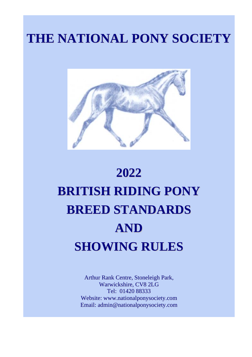# **THE NATIONAL PONY SOCIETY**



# **2022 BRITISH RIDING PONY BREED STANDARDS AND SHOWING RULES**

Arthur Rank Centre, Stoneleigh Park, Warwickshire, CV8 2LG Tel: 01420 88333 Website: www.nationalponysociety.com Email: admin@nationalponysociety.com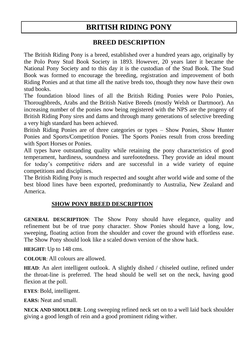## **BRITISH RIDING PONY**

#### **BREED DESCRIPTION**

The British Riding Pony is a breed, established over a hundred years ago, originally by the Polo Pony Stud Book Society in 1893. However, 20 years later it became the National Pony Society and to this day it is the custodian of the Stud Book. The Stud Book was formed to encourage the breeding, registration and improvement of both Riding Ponies and at that time all the native breds too, though they now have their own stud books.

The foundation blood lines of all the British Riding Ponies were Polo Ponies, Thoroughbreds, Arabs and the British Native Breeds (mostly Welsh or Dartmoor). An increasing number of the ponies now being registered with the NPS are the progeny of British Riding Pony sires and dams and through many generations of selective breeding a very high standard has been achieved.

British Riding Ponies are of three categories or types – Show Ponies, Show Hunter Ponies and Sports/Competition Ponies. The Sports Ponies result from cross breeding with Sport Horses or Ponies.

All types have outstanding quality while retaining the pony characteristics of good temperament, hardiness, soundness and surefootedness. They provide an ideal mount for today's competitive riders and are successful in a wide variety of equine competitions and disciplines.

The British Riding Pony is much respected and sought after world wide and some of the best blood lines have been exported, predominantly to Australia, New Zealand and America.

#### **SHOW PONY BREED DESCRIPTION**

**GENERAL DESCRIPTION**: The Show Pony should have elegance, quality and refinement but be of true pony character. Show Ponies should have a long, low, sweeping, floating action from the shoulder and cover the ground with effortless ease. The Show Pony should look like a scaled down version of the show hack.

**HEIGHT**: Up to 148 cms.

**COLOUR**: All colours are allowed.

**HEAD**: An alert intelligent outlook. A slightly dished / chiseled outline, refined under the throat-line is preferred. The head should be well set on the neck, having good flexion at the poll.

**EYES**: Bold, intelligent.

**EARS:** Neat and small.

**NECK AND SHOULDER**: Long sweeping refined neck set on to a well laid back shoulder giving a good length of rein and a good prominent riding wither.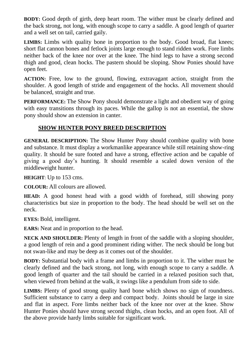**BODY:** Good depth of girth, deep heart room. The wither must be clearly defined and the back strong, not long, with enough scope to carry a saddle. A good length of quarter and a well set on tail, carried gaily.

**LIMBS:** Limbs with quality bone in proportion to the body. Good broad, flat knees; short flat cannon bones and fetlock joints large enough to stand ridden work. Fore limbs neither back of the knee nor over at the knee. The hind legs to have a strong second thigh and good, clean hocks. The pastern should be sloping. Show Ponies should have open feet.

**ACTION:** Free, low to the ground, flowing, extravagant action, straight from the shoulder. A good length of stride and engagement of the hocks. All movement should be balanced, straight and true.

**PERFORMANCE:** The Show Pony should demonstrate a light and obedient way of going with easy transitions through its paces. While the gallop is not an essential, the show pony should show an extension in canter.

#### **SHOW HUNTER PONY BREED DESCRIPTION**

**GENERAL DESCRIPTION:** The Show Hunter Pony should combine quality with bone and substance. It must display a workmanlike appearance while still retaining show-ring quality. It should be sure footed and have a strong, effective action and be capable of giving a good day's hunting. It should resemble a scaled down version of the middleweight hunter.

**HEIGHT**: Up to 153 cms.

**COLOUR:** All colours are allowed.

**HEAD:** A good honest head with a good width of forehead, still showing pony characteristics but size in proportion to the body. The head should be well set on the neck.

**EYES:** Bold, intelligent.

**EARS:** Neat and in proportion to the head.

**NECK AND SHOULDER:** Plenty of length in front of the saddle with a sloping shoulder, a good length of rein and a good prominent riding wither. The neck should be long but not swan-like and may be deep as it comes out of the shoulder.

**BODY:** Substantial body with a frame and limbs in proportion to it. The wither must be clearly defined and the back strong, not long, with enough scope to carry a saddle. A good length of quarter and the tail should be carried in a relaxed position such that, when viewed from behind at the walk, it swings like a pendulum from side to side.

**LIMBS:** Plenty of good strong quality hard bone which shows no sign of roundness. Sufficient substance to carry a deep and compact body. Joints should be large in size and flat in aspect. Fore limbs neither back of the knee nor over at the knee. Show Hunter Ponies should have strong second thighs, clean hocks, and an open foot. All of the above provide hardy limbs suitable for significant work.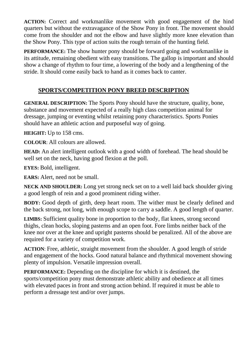**ACTION:** Correct and workmanlike movement with good engagement of the hind quarters but without the extravagance of the Show Pony in front. The movement should come from the shoulder and not the elbow and have slightly more knee elevation than the Show Pony. This type of action suits the rough terrain of the hunting field.

**PERFORMANCE:** The show hunter pony should be forward going and workmanlike in its attitude, remaining obedient with easy transitions. The gallop is important and should show a change of rhythm to four time, a lowering of the body and a lengthening of the stride. It should come easily back to hand as it comes back to canter.

#### **SPORTS/COMPETITION PONY BREED DESCRIPTION**

**GENERAL DESCRIPTION:** The Sports Pony should have the structure, quality, bone, substance and movement expected of a really high class competition animal for dressage, jumping or eventing whilst retaining pony characteristics. Sports Ponies should have an athletic action and purposeful way of going.

**HEIGHT:** Up to 158 cms.

**COLOUR**: All colours are allowed.

**HEAD:** An alert intelligent outlook with a good width of forehead. The head should be well set on the neck, having good flexion at the poll.

**EYES:** Bold, intelligent.

**EARS:** Alert, need not be small.

**NECK AND SHOULDER:** Long yet strong neck set on to a well laid back shoulder giving a good length of rein and a good prominent riding wither.

**BODY:** Good depth of girth, deep heart room. The wither must be clearly defined and the back strong, not long, with enough scope to carry a saddle. A good length of quarter.

**LIMBS:** Sufficient quality bone in proportion to the body, flat knees, strong second thighs, clean hocks, sloping pasterns and an open foot. Fore limbs neither back of the knee nor over at the knee and upright pasterns should be penalized. All of the above are required for a variety of competition work.

**ACTION**: Free, athletic, straight movement from the shoulder. A good length of stride and engagement of the hocks. Good natural balance and rhythmical movement showing plenty of impulsion. Versatile impression overall.

**PERFORMANCE:** Depending on the discipline for which it is destined, the sports/competition pony must demonstrate athletic ability and obedience at all times with elevated paces in front and strong action behind. If required it must be able to perform a dressage test and/or over jumps.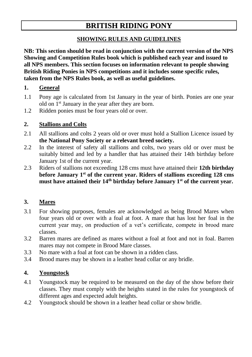### **BRITISH RIDING PONY**

#### **SHOWING RULES AND GUIDELINES**

**NB: This section should be read in conjunction with the current version of the NPS Showing and Competition Rules book which is published each year and issued to all NPS members. This section focuses on information relevant to people showing British Riding Ponies in NPS competitions and it includes some specific rules, taken from the NPS Rules book, as well as useful guidelines.** 

#### **1. General**

- 1.1 Pony age is calculated from 1st January in the year of birth. Ponies are one year old on 1st January in the year after they are born.
- 1.2 Ridden ponies must be four years old or over.

#### **2. Stallions and Colts**

- 2.1 All stallions and colts 2 years old or over must hold a Stallion Licence issued by **the National Pony Society or a relevant breed society.**
- 2.2 In the interest of safety all stallions and colts, two years old or over must be suitably bitted and led by a handler that has attained their 14th birthday before January 1st of the current year.
- 2.3 Riders of stallions not exceeding 128 cms must have attained their **12th birthday before January 1st of the current year. Riders of stallions exceeding 128 cms must have attained their 14th birthday before January 1st of the current year.**

#### **3. Mares**

- 3.1 For showing purposes, females are acknowledged as being Brood Mares when four years old or over with a foal at foot. A mare that has lost her foal in the current year may, on production of a vet's certificate, compete in brood mare classes.
- 3.2 Barren mares are defined as mares without a foal at foot and not in foal. Barren mares may not compete in Brood Mare classes.
- 3.3 No mare with a foal at foot can be shown in a ridden class.
- 3.4 Brood mares may be shown in a leather head collar or any bridle.

#### **4. Youngstock**

- 4.1 Youngstock may be required to be measured on the day of the show before their classes. They must comply with the heights stated in the rules for youngstock of different ages and expected adult heights.
- 4.2 Youngstock should be shown in a leather head collar or show bridle.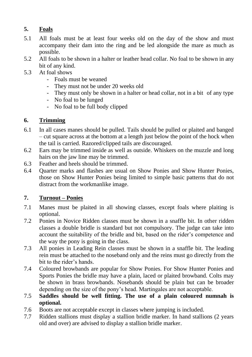#### **5. Foals**

- 5.1 All foals must be at least four weeks old on the day of the show and must accompany their dam into the ring and be led alongside the mare as much as possible.
- 5.2 All foals to be shown in a halter or leather head collar. No foal to be shown in any bit of any kind.
- 5.3 At foal shows
	- Foals must be weaned
	- They must not be under 20 weeks old
	- They must only be shown in a halter or head collar, not in a bit of any type
	- No foal to be lunged
	- No foal to be full body clipped

#### **6. Trimming**

- 6.1 In all cases manes should be pulled. Tails should be pulled or plaited and banged – cut square across at the bottom at a length just below the point of the hock when the tail is carried. Razored/clipped tails are discouraged.
- 6.2 Ears may be trimmed inside as well as outside. Whiskers on the muzzle and long hairs on the jaw line may be trimmed.
- 6.3 Feather and heels should be trimmed.
- 6.4 Quarter marks and flashes are usual on Show Ponies and Show Hunter Ponies, those on Show Hunter Ponies being limited to simple basic patterns that do not distract from the workmanlike image.

#### **7. Turnout – Ponies**

- 7.1 Manes must be plaited in all showing classes, except foals where plaiting is optional.
- 7.2 Ponies in Novice Ridden classes must be shown in a snaffle bit. In other ridden classes a double bridle is standard but not compulsory. The judge can take into account the suitability of the bridle and bit, based on the rider's competence and the way the pony is going in the class.
- 7.3 All ponies in Leading Rein classes must be shown in a snaffle bit. The leading rein must be attached to the noseband only and the reins must go directly from the bit to the rider's hands.
- 7.4 Coloured browbands are popular for Show Ponies. For Show Hunter Ponies and Sports Ponies the bridle may have a plain, laced or plaited browband. Colts may be shown in brass browbands. Nosebands should be plain but can be broader depending on the size of the pony's head. Martingales are not acceptable.
- 7.5 **Saddles should be well fitting. The use of a plain coloured numnah is optional.**
- 7.6 Boots are not acceptable except in classes where jumping is included.
- 7.7 Ridden stallions must display a stallion bridle marker. In hand stallions (2 years old and over) are advised to display a stallion bridle marker.